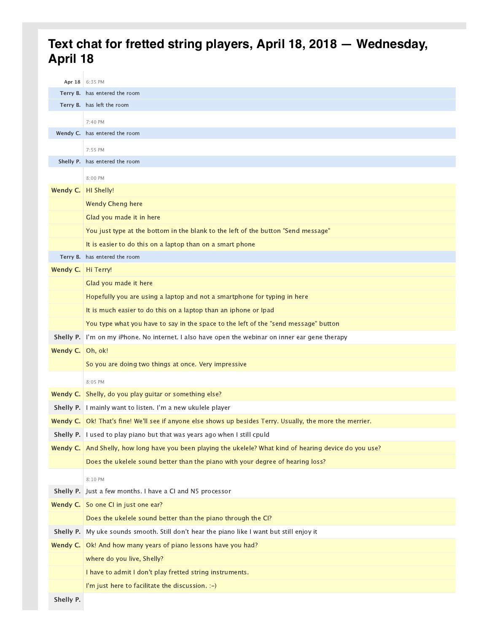## **Text chat for fretted string players, April 18, 2018 — Wednesday, April 18**

| Apr 18           | 6:35 PM                                                                                                  |
|------------------|----------------------------------------------------------------------------------------------------------|
|                  | Terry B. has entered the room                                                                            |
|                  | Terry B. has left the room                                                                               |
|                  | 7:40 PM                                                                                                  |
|                  | Wendy C. has entered the room                                                                            |
|                  | 7:55 PM                                                                                                  |
|                  | Shelly P. has entered the room                                                                           |
|                  | 8:00 PM                                                                                                  |
| Wendy C.         | HI Shelly!                                                                                               |
|                  | <b>Wendy Cheng here</b>                                                                                  |
|                  | Glad you made it in here                                                                                 |
|                  | You just type at the bottom in the blank to the left of the button "Send message"                        |
|                  | It is easier to do this on a laptop than on a smart phone                                                |
|                  | Terry B. has entered the room                                                                            |
| Wendy C.         | Hi Terry!                                                                                                |
|                  | Glad you made it here                                                                                    |
|                  | Hopefully you are using a laptop and not a smartphone for typing in here                                 |
|                  | It is much easier to do this on a laptop than an iphone or Ipad                                          |
|                  | You type what you have to say in the space to the left of the "send message" button                      |
| Shelly P.        | I'm on my iPhone. No internet. I also have open the webinar on inner ear gene therapy                    |
| Wendy C. $\vert$ | Oh, ok!                                                                                                  |
|                  | So you are doing two things at once. Very impressive                                                     |
|                  | 8:05 PM                                                                                                  |
| Wendy C.         | Shelly, do you play guitar or something else?                                                            |
| Shelly P.        | I mainly want to listen. I'm a new ukulele player                                                        |
| Wendy C.         | Ok! That's fine! We'll see if anyone else shows up besides Terry. Usually, the more the merrier.         |
| Shelly P.        | I used to play piano but that was years ago when I still cpuld                                           |
|                  | Wendy C. And Shelly, how long have you been playing the ukelele? What kind of hearing device do you use? |
|                  | Does the ukelele sound better than the piano with your degree of hearing loss?                           |
|                  | 8:10 PM                                                                                                  |
| Shelly P.        | Just a few months. I have a CI and N5 processor                                                          |
| Wendy $C.$       | So one CI in just one ear?                                                                               |
|                  | Does the ukelele sound better than the piano through the CI?                                             |
| Shelly P.        | My uke sounds smooth. Still don't hear the piano like I want but still enjoy it                          |
| Wendy C.         | Ok! And how many years of piano lessons have you had?                                                    |
|                  | where do you live, Shelly?                                                                               |
|                  | I have to admit I don't play fretted string instruments.                                                 |
|                  | I'm just here to facilitate the discussion. :-)                                                          |
|                  |                                                                                                          |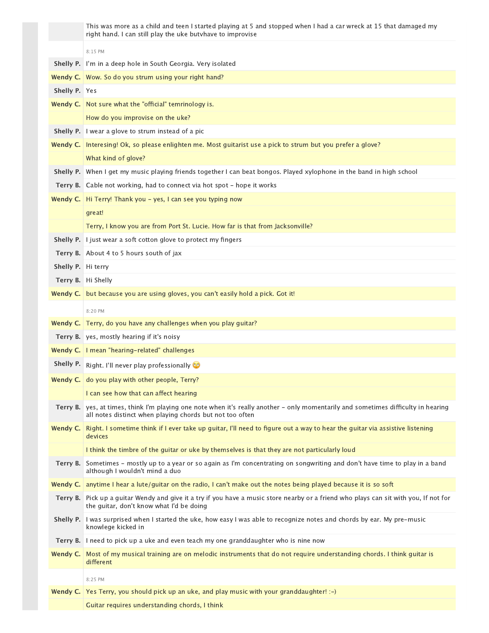|                    | This was more as a child and teen I started playing at 5 and stopped when I had a car wreck at 15 that damaged my<br>right hand. I can still play the uke butvhave to improvise       |
|--------------------|---------------------------------------------------------------------------------------------------------------------------------------------------------------------------------------|
|                    | 8:15 PM                                                                                                                                                                               |
| Shelly P.          | I'm in a deep hole in South Georgia. Very isolated                                                                                                                                    |
| Wendy C.           | Wow. So do you strum using your right hand?                                                                                                                                           |
| Shelly P. Yes      |                                                                                                                                                                                       |
| Wendy C.           | Not sure what the "official" temrinology is.                                                                                                                                          |
|                    | How do you improvise on the uke?                                                                                                                                                      |
| Shelly P.          | I wear a glove to strum instead of a pic                                                                                                                                              |
| Wendy C.           | Interesing! Ok, so please enlighten me. Most guitarist use a pick to strum but you prefer a glove?                                                                                    |
|                    | What kind of glove?                                                                                                                                                                   |
| Shelly P.          | When I get my music playing friends together I can beat bongos. Played xylophone in the band in high school                                                                           |
| Terry B.           | Cable not working, had to connect via hot spot - hope it works                                                                                                                        |
| Wendy C.           | Hi Terry! Thank you - yes, I can see you typing now                                                                                                                                   |
|                    | great!                                                                                                                                                                                |
|                    | Terry, I know you are from Port St. Lucie. How far is that from Jacksonville?                                                                                                         |
| Shelly P.          | I just wear a soft cotton glove to protect my fingers                                                                                                                                 |
|                    | Terry B. About 4 to 5 hours south of jax                                                                                                                                              |
| Shelly P. Hi terry |                                                                                                                                                                                       |
|                    | Terry B. Hi Shelly                                                                                                                                                                    |
| Wendy C.           | but because you are using gloves, you can't easily hold a pick. Got it!                                                                                                               |
|                    | 8:20 PM                                                                                                                                                                               |
| Wendy C.           | Terry, do you have any challenges when you play guitar?                                                                                                                               |
|                    | Terry B. yes, mostly hearing if it's noisy                                                                                                                                            |
| Wendy C.           | I mean "hearing-related" challenges                                                                                                                                                   |
| Shelly P.          | Right. I'll never play professionally                                                                                                                                                 |
|                    | <b>Wendy C.</b> do you play with other people, Terry?                                                                                                                                 |
|                    | I can see how that can affect hearing                                                                                                                                                 |
| Terry B.           | yes, at times, think I'm playing one note when it's really another - only momentarily and sometimes difficulty in hearing<br>all notes distinct when playing chords but not too often |
| Wendy C.           | Right. I sometime think if I ever take up guitar, I'll need to figure out a way to hear the guitar via assistive listening<br>devices                                                 |
|                    | I think the timbre of the guitar or uke by themselves is that they are not particularly loud                                                                                          |
| Terry B.           | Sometimes - mostly up to a year or so again as I'm concentrating on songwriting and don't have time to play in a band<br>although I wouldn't mind a duo                               |
| Wendy C.           | anytime I hear a lute/guitar on the radio, I can't make out the notes being played because it is so soft                                                                              |
| Terry B.           | Pick up a guitar Wendy and give it a try if you have a music store nearby or a friend who plays can sit with you, If not for<br>the guitar, don't know what I'd be doing              |
| Shelly P.          | I was surprised when I started the uke, how easy I was able to recognize notes and chords by ear. My pre-music<br>knowlege kicked in                                                  |
|                    | Terry B. I need to pick up a uke and even teach my one granddaughter who is nine now                                                                                                  |
| Wendy C.           | Most of my musical training are on melodic instruments that do not require understanding chords. I think guitar is<br>different                                                       |
|                    | 8:25 PM                                                                                                                                                                               |
| Wendy C.           | Yes Terry, you should pick up an uke, and play music with your granddaughter! :-)                                                                                                     |
|                    | Guitar requires understanding chords, I think                                                                                                                                         |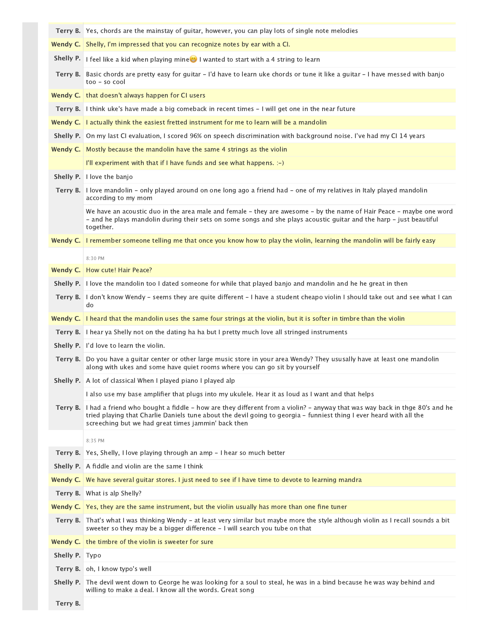|           | Terry B.   Yes, chords are the mainstay of quitar, however, you can play lots of single note melodies                                                                                                                                                                                                   |
|-----------|---------------------------------------------------------------------------------------------------------------------------------------------------------------------------------------------------------------------------------------------------------------------------------------------------------|
|           | <b>Wendy C.</b> Shelly, I'm impressed that you can recognize notes by ear with a CI.                                                                                                                                                                                                                    |
| Shelly P. | I feel like a kid when playing mine I wanted to start with a 4 string to learn                                                                                                                                                                                                                          |
| Terry B.  | Basic chords are pretty easy for guitar - I'd have to learn uke chords or tune it like a guitar - I have messed with banjo<br>$too - so cool$                                                                                                                                                           |
| Wendy C.  | that doesn't always happen for CI users                                                                                                                                                                                                                                                                 |
| Terry B.  | I think uke's have made a big comeback in recent times - I will get one in the near future                                                                                                                                                                                                              |
| Wendy C.  | I actually think the easiest fretted instrument for me to learn will be a mandolin                                                                                                                                                                                                                      |
| Shelly P. | On my last CI evaluation, I scored 96% on speech discrimination with background noise. I've had my CI 14 years                                                                                                                                                                                          |
| Wendy C.  | Mostly because the mandolin have the same 4 strings as the violin                                                                                                                                                                                                                                       |
|           | I'll experiment with that if I have funds and see what happens. $:-)$                                                                                                                                                                                                                                   |
| Shelly P. | I love the banjo                                                                                                                                                                                                                                                                                        |
| Terry B.  | I love mandolin - only played around on one long ago a friend had - one of my relatives in Italy played mandolin<br>according to my mom                                                                                                                                                                 |
|           | We have an acoustic duo in the area male and female - they are awesome - by the name of Hair Peace - maybe one word<br>- and he plays mandolin during their sets on some songs and she plays acoustic guitar and the harp - just beautiful<br>together.                                                 |
| Wendy C.  | I remember someone telling me that once you know how to play the violin, learning the mandolin will be fairly easy                                                                                                                                                                                      |
|           | 8:30 PM                                                                                                                                                                                                                                                                                                 |
| Wendy C.  | How cute! Hair Peace?                                                                                                                                                                                                                                                                                   |
| Shelly P. | I love the mandolin too I dated someone for while that played banjo and mandolin and he he great in then                                                                                                                                                                                                |
| Terry B.  | I don't know Wendy - seems they are quite different - I have a student cheapo violin I should take out and see what I can<br>do                                                                                                                                                                         |
| Wendy C.  | I heard that the mandolin uses the same four strings at the violin, but it is softer in timbre than the violin                                                                                                                                                                                          |
| Terry B.  | I hear ya Shelly not on the dating ha ha but I pretty much love all stringed instruments                                                                                                                                                                                                                |
|           |                                                                                                                                                                                                                                                                                                         |
| Shelly P. | I'd love to learn the violin.                                                                                                                                                                                                                                                                           |
| Terry B.  | Do you have a guitar center or other large music store in your area Wendy? They ususally have at least one mandolin<br>along with ukes and some have quiet rooms where you can go sit by yourself                                                                                                       |
|           | <b>Shelly P.</b> A lot of classical When I played piano I played alp                                                                                                                                                                                                                                    |
|           | I also use my base amplifier that plugs into my ukulele. Hear it as loud as I want and that helps                                                                                                                                                                                                       |
| Terry B.  | I had a friend who bought a fiddle - how are they different from a violin? - anyway that was way back in thge 80's and he<br>tried playing that Charlie Daniels tune about the devil going to georgia - funniest thing I ever heard with all the<br>screeching but we had great times jammin' back then |
|           | 8:35 PM                                                                                                                                                                                                                                                                                                 |
| Terry B.  | Yes, Shelly, I love playing through an amp - I hear so much better                                                                                                                                                                                                                                      |
| Shelly P. | A fiddle and violin are the same I think                                                                                                                                                                                                                                                                |
| Wendy C.  | We have several quitar stores. I just need to see if I have time to devote to learning mandra                                                                                                                                                                                                           |
| Terry B.  | What is alp Shelly?                                                                                                                                                                                                                                                                                     |
|           | Wendy C.   Yes, they are the same instrument, but the violin usually has more than one fine tuner                                                                                                                                                                                                       |
| Terry B.  | That's what I was thinking Wendy - at least very similar but maybe more the style although violin as I recall sounds a bit<br>sweeter so they may be a bigger difference - I will search you tube on that                                                                                               |
| Wendy C.  | the timbre of the violin is sweeter for sure                                                                                                                                                                                                                                                            |
| Shelly P. | Typo                                                                                                                                                                                                                                                                                                    |
|           | Terry B. oh, I know typo's well                                                                                                                                                                                                                                                                         |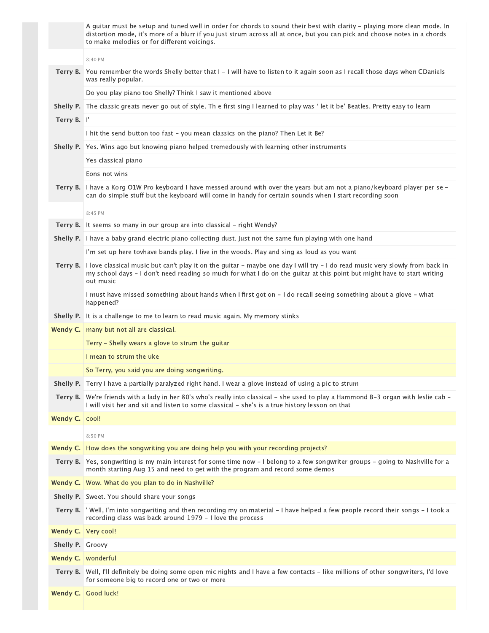|                | A guitar must be setup and tuned well in order for chords to sound their best with clarity - playing more clean mode. In<br>distortion mode, it's more of a blurr if you just strum across all at once, but you can pick and choose notes in a chords<br>to make melodies or for different voicings. |
|----------------|------------------------------------------------------------------------------------------------------------------------------------------------------------------------------------------------------------------------------------------------------------------------------------------------------|
|                | 8:40 PM                                                                                                                                                                                                                                                                                              |
| Terry B.       | You remember the words Shelly better that I - I will have to listen to it again soon as I recall those days when CDaniels<br>was really popular.                                                                                                                                                     |
|                | Do you play piano too Shelly? Think I saw it mentioned above                                                                                                                                                                                                                                         |
| Shelly P.      | The classic greats never go out of style. Th e first sing I learned to play was ' let it be' Beatles. Pretty easy to learn                                                                                                                                                                           |
| Terry B. I'    |                                                                                                                                                                                                                                                                                                      |
|                | I hit the send button too fast - you mean classics on the piano? Then Let it Be?                                                                                                                                                                                                                     |
| Shelly P.      | Yes. Wins ago but knowing piano helped tremedously with learning other instruments                                                                                                                                                                                                                   |
|                | Yes classical piano                                                                                                                                                                                                                                                                                  |
|                | Eons not wins                                                                                                                                                                                                                                                                                        |
| Terry B.       | I have a Korg O1W Pro keyboard I have messed around with over the years but am not a piano/keyboard player per se -<br>can do simple stuff but the keyboard will come in handy for certain sounds when I start recording soon                                                                        |
|                | 8:45 PM                                                                                                                                                                                                                                                                                              |
| Terry B.       | It seems so many in our group are into classical - right Wendy?                                                                                                                                                                                                                                      |
| Shelly P.      | I have a baby grand electric piano collecting dust. Just not the same fun playing with one hand                                                                                                                                                                                                      |
|                | I'm set up here tovhave bands play. I live in the woods. Play and sing as loud as you want                                                                                                                                                                                                           |
| Terry B.       | I love classical music but can't play it on the guitar - maybe one day I will try - I do read music very slowly from back in<br>my school days - I don't need reading so much for what I do on the guitar at this point but might have to start writing<br>out music                                 |
|                | I must have missed something about hands when I first got on - I do recall seeing something about a glove - what<br>happened?                                                                                                                                                                        |
| Shelly P.      | It is a challenge to me to learn to read music again. My memory stinks                                                                                                                                                                                                                               |
|                |                                                                                                                                                                                                                                                                                                      |
| Wendy C.       | many but not all are classical.                                                                                                                                                                                                                                                                      |
|                | Terry - Shelly wears a glove to strum the guitar                                                                                                                                                                                                                                                     |
|                | I mean to strum the uke                                                                                                                                                                                                                                                                              |
|                | So Terry, you said you are doing songwriting.                                                                                                                                                                                                                                                        |
|                | Shelly P. Terry I have a partially paralyzed right hand. I wear a glove instead of using a pic to strum                                                                                                                                                                                              |
| Terry B.       | We're friends with a lady in her 80's who's really into classical – she used to play a Hammond B-3 organ with leslie cab –<br>I will visit her and sit and listen to some classical - she's is a true history lesson on that                                                                         |
| Wendy C. cool! |                                                                                                                                                                                                                                                                                                      |
|                | 8:50 PM                                                                                                                                                                                                                                                                                              |
| Wendy C.       | How does the songwriting you are doing help you with your recording projects?                                                                                                                                                                                                                        |
|                | Terry B. Yes, songwriting is my main interest for some time now - I belong to a few songwriter groups - going to Nashville for a<br>month starting Aug 15 and need to get with the program and record some demos                                                                                     |
|                | Wendy C.   Wow. What do you plan to do in Nashville?                                                                                                                                                                                                                                                 |
|                | <b>Shelly P.</b> Sweet. You should share your songs                                                                                                                                                                                                                                                  |
| Terry B.       | ' Well, I'm into songwriting and then recording my on material - I have helped a few people record their songs - I took a<br>recording class was back around 1979 - I love the process                                                                                                               |
| Wendy C.       | Very cool!                                                                                                                                                                                                                                                                                           |
| Shelly P.      | Groovy                                                                                                                                                                                                                                                                                               |
| Wendy C.       | wonderful                                                                                                                                                                                                                                                                                            |
| Terry B.       | Well, I'll definitely be doing some open mic nights and I have a few contacts - like millions of other songwriters, I'd love<br>for someone big to record one or two or more                                                                                                                         |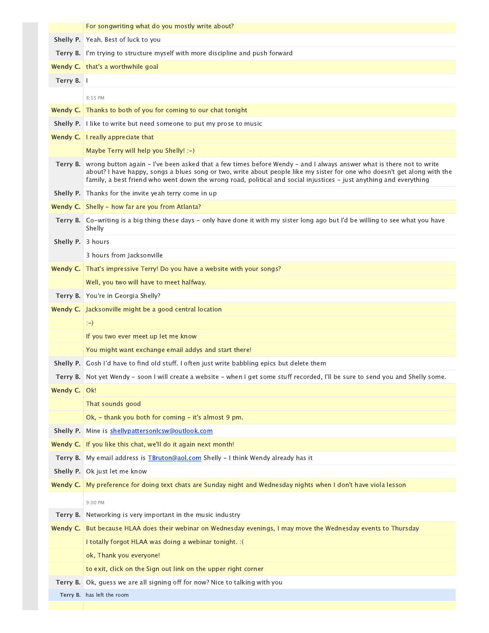|                   | For songwriting what do you mostly write about?                                                                                                                                                                                                                                                                                                                       |
|-------------------|-----------------------------------------------------------------------------------------------------------------------------------------------------------------------------------------------------------------------------------------------------------------------------------------------------------------------------------------------------------------------|
|                   | Shelly P. Yeah. Best of luck to you                                                                                                                                                                                                                                                                                                                                   |
| Terry B.          | I'm trying to structure myself with more discipline and push forward                                                                                                                                                                                                                                                                                                  |
|                   | Wendy C.   that's a worthwhile goal                                                                                                                                                                                                                                                                                                                                   |
| Terry B. I        |                                                                                                                                                                                                                                                                                                                                                                       |
|                   | 8:55 PM                                                                                                                                                                                                                                                                                                                                                               |
| Wendy C.          | Thanks to both of you for coming to our chat tonight                                                                                                                                                                                                                                                                                                                  |
|                   | Shelly P. I like to write but need someone to put my prose to music                                                                                                                                                                                                                                                                                                   |
|                   | <b>Wendy C.</b> I really appreciate that                                                                                                                                                                                                                                                                                                                              |
|                   | Maybe Terry will help you Shelly! :-)                                                                                                                                                                                                                                                                                                                                 |
| Terry B.          | wrong button again – I've been asked that a few times before Wendy – and I always answer what is there not to write<br>about? I have happy, songs a blues song or two, write about people like my sister for one who doesn't get along with the<br>family, a best friend who went down the wrong road, political and social injustices - just anything and everything |
|                   | Shelly P. Thanks for the invite yeah terry come in up                                                                                                                                                                                                                                                                                                                 |
|                   | <b>Wendy C.</b> Shelly - how far are you from Atlanta?                                                                                                                                                                                                                                                                                                                |
| Terry B.          | Co-writing is a big thing these days - only have done it with my sister long ago but I'd be willing to see what you have<br>Shelly                                                                                                                                                                                                                                    |
| Shelly P. 3 hours |                                                                                                                                                                                                                                                                                                                                                                       |
|                   | 3 hours from Jacksonville                                                                                                                                                                                                                                                                                                                                             |
| Wendy C.          | That's impressive Terry! Do you have a website with your songs?                                                                                                                                                                                                                                                                                                       |
|                   | Well, you two will have to meet halfway.                                                                                                                                                                                                                                                                                                                              |
| Terry B.          | You're in Georgia Shelly?                                                                                                                                                                                                                                                                                                                                             |
|                   | <b>Wendy C.</b> Jacksonville might be a good central location                                                                                                                                                                                                                                                                                                         |
|                   | $:-)$                                                                                                                                                                                                                                                                                                                                                                 |
|                   | If you two ever meet up let me know                                                                                                                                                                                                                                                                                                                                   |
|                   | You might want exchange email addys and start there!                                                                                                                                                                                                                                                                                                                  |
| Shelly P.         | Gosh I'd have to find old stuff. I often just write babbling epics but delete them                                                                                                                                                                                                                                                                                    |
|                   | Terry B. Not yet Wendy - soon I will create a website - when I get some stuff recorded, I'll be sure to send you and Shelly some.                                                                                                                                                                                                                                     |
| Wendy C.   Ok!    |                                                                                                                                                                                                                                                                                                                                                                       |
|                   | That sounds good                                                                                                                                                                                                                                                                                                                                                      |
|                   | Ok, - thank you both for coming - it's almost 9 pm.                                                                                                                                                                                                                                                                                                                   |
| Shelly P.         | Mine is shellypattersonlcsw@outlook.com                                                                                                                                                                                                                                                                                                                               |
| Wendy C.          | If you like this chat, we'll do it again next month!                                                                                                                                                                                                                                                                                                                  |
| Terry B.          | My email address is <b>TBruton@aol.com</b> Shelly - I think Wendy already has it                                                                                                                                                                                                                                                                                      |
|                   | Shelly P. Ok just let me know                                                                                                                                                                                                                                                                                                                                         |
| Wendy C.          | My preference for doing text chats are Sunday night and Wednesday nights when I don't have viola lesson                                                                                                                                                                                                                                                               |
|                   | 9:00 PM                                                                                                                                                                                                                                                                                                                                                               |
| Terry B.          | Networking is very important in the music industry                                                                                                                                                                                                                                                                                                                    |
| Wendy C.          | But because HLAA does their webinar on Wednesday evenings, I may move the Wednesday events to Thursday                                                                                                                                                                                                                                                                |
|                   | I totally forgot HLAA was doing a webinar tonight. : (                                                                                                                                                                                                                                                                                                                |
|                   | ok, Thank you everyone!                                                                                                                                                                                                                                                                                                                                               |
|                   | to exit, click on the Sign out link on the upper right corner                                                                                                                                                                                                                                                                                                         |
| Terry B.          | Ok, guess we are all signing off for now? Nice to talking with you                                                                                                                                                                                                                                                                                                    |
|                   | Terry B. has left the room                                                                                                                                                                                                                                                                                                                                            |